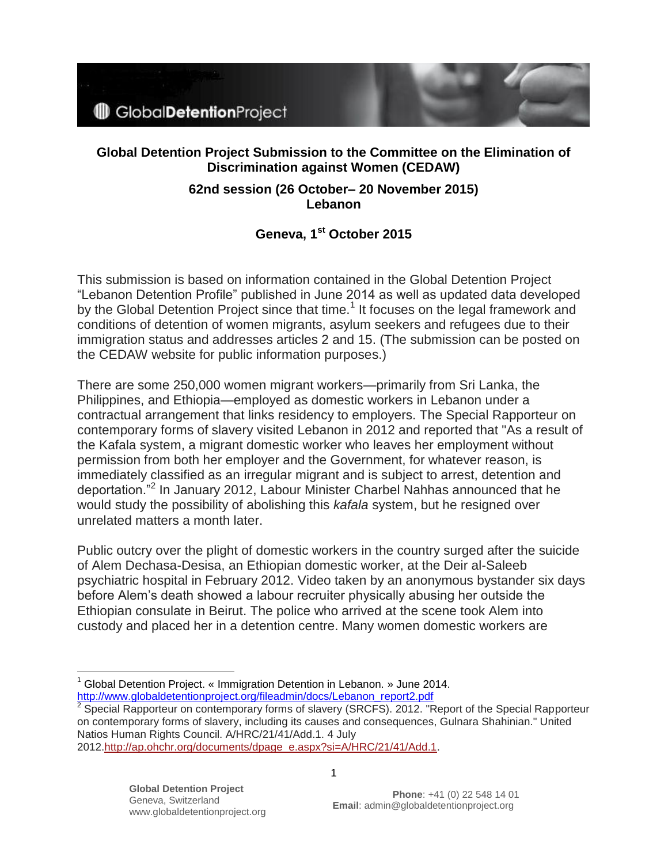

## **Global Detention Project Submission to the Committee on the Elimination of Discrimination against Women (CEDAW)**

## **62nd session (26 October– 20 November 2015) Lebanon**

## **Geneva, 1st October 2015**

This submission is based on information contained in the Global Detention Project "Lebanon Detention Profile" published in June 2014 as well as updated data developed by the Global Detention Project since that time.<sup>1</sup> It focuses on the legal framework and conditions of detention of women migrants, asylum seekers and refugees due to their immigration status and addresses articles 2 and 15. (The submission can be posted on the CEDAW website for public information purposes.)

There are some 250,000 women migrant workers—primarily from Sri Lanka, the Philippines, and Ethiopia—employed as domestic workers in Lebanon under a contractual arrangement that links residency to employers. The Special Rapporteur on contemporary forms of slavery visited Lebanon in 2012 and reported that "As a result of the Kafala system, a migrant domestic worker who leaves her employment without permission from both her employer and the Government, for whatever reason, is immediately classified as an irregular migrant and is subject to arrest, detention and deportation."<sup>2</sup> In January 2012, Labour Minister Charbel Nahhas announced that he would study the possibility of abolishing this *kafala* system, but he resigned over unrelated matters a month later.

Public outcry over the plight of domestic workers in the country surged after the suicide of Alem Dechasa-Desisa, an Ethiopian domestic worker, at the Deir al-Saleeb psychiatric hospital in February 2012. Video taken by an anonymous bystander six days before Alem's death showed a labour recruiter physically abusing her outside the Ethiopian consulate in Beirut. The police who arrived at the scene took Alem into custody and placed her in a detention centre. Many women domestic workers are

 $\overline{a}$ <sup>1</sup> Global Detention Project. « Immigration Detention in Lebanon. » June 2014.

<sup>&</sup>lt;u>[http://www.globaldetentionproject.org/fileadmin/docs/Lebanon\\_report2.pdf](http://www.globaldetentionproject.org/fileadmin/docs/Lebanon_report2.pdf)</u><br><sup>2</sup> Special Rapporteur on contemporary forms of slavery (SRCFS). 2012. "Report of the Special Rapporteur on contemporary forms of slavery, including its causes and consequences, Gulnara Shahinian." United Natios Human Rights Council. A/HRC/21/41/Add.1. 4 July 2012[.http://ap.ohchr.org/documents/dpage\\_e.aspx?si=A/HRC/21/41/Add.1.](http://ap.ohchr.org/documents/dpage_e.aspx?si=A/HRC/21/41/Add.1)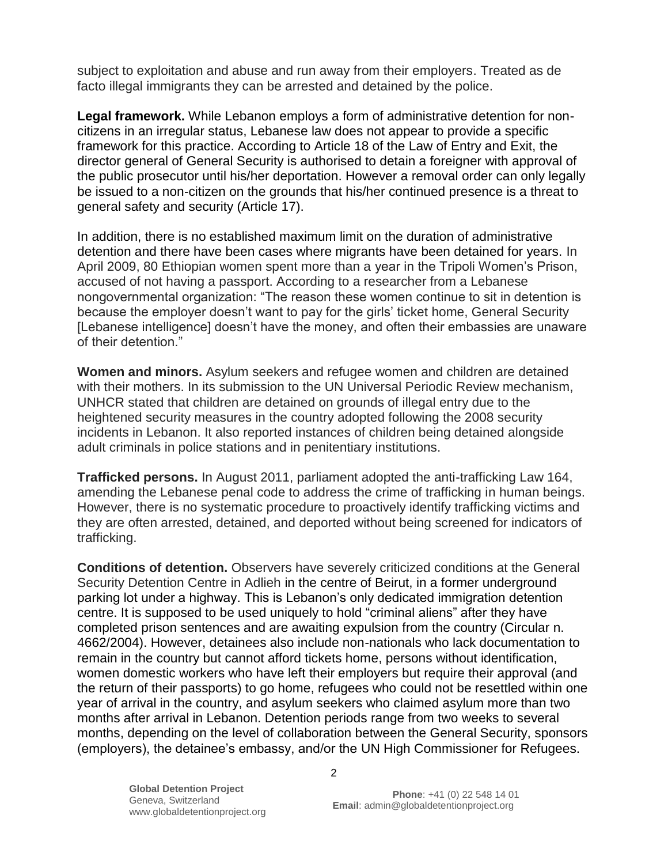subject to exploitation and abuse and run away from their employers. Treated as de facto illegal immigrants they can be arrested and detained by the police.

**Legal framework.** While Lebanon employs a form of administrative detention for noncitizens in an irregular status, Lebanese law does not appear to provide a specific framework for this practice. According to Article 18 of the Law of Entry and Exit, the director general of General Security is authorised to detain a foreigner with approval of the public prosecutor until his/her deportation. However a removal order can only legally be issued to a non-citizen on the grounds that his/her continued presence is a threat to general safety and security (Article 17).

In addition, there is no established maximum limit on the duration of administrative detention and there have been cases where migrants have been detained for years. In April 2009, 80 Ethiopian women spent more than a year in the Tripoli Women's Prison, accused of not having a passport. According to a researcher from a Lebanese nongovernmental organization: "The reason these women continue to sit in detention is because the employer doesn't want to pay for the girls' ticket home, General Security [Lebanese intelligence] doesn't have the money, and often their embassies are unaware of their detention."

**Women and minors.** Asylum seekers and refugee women and children are detained with their mothers. In its submission to the UN Universal Periodic Review mechanism, UNHCR stated that children are detained on grounds of illegal entry due to the heightened security measures in the country adopted following the 2008 security incidents in Lebanon. It also reported instances of children being detained alongside adult criminals in police stations and in penitentiary institutions.

**Trafficked persons.** In August 2011, parliament adopted the anti-trafficking Law 164, amending the Lebanese penal code to address the crime of trafficking in human beings. However, there is no systematic procedure to proactively identify trafficking victims and they are often arrested, detained, and deported without being screened for indicators of trafficking.

**Conditions of detention.** Observers have severely criticized conditions at the General Security Detention Centre in Adlieh in the centre of Beirut, in a former underground parking lot under a highway. This is Lebanon's only dedicated immigration detention centre. It is supposed to be used uniquely to hold "criminal aliens" after they have completed prison sentences and are awaiting expulsion from the country (Circular n. 4662/2004). However, detainees also include non-nationals who lack documentation to remain in the country but cannot afford tickets home, persons without identification, women domestic workers who have left their employers but require their approval (and the return of their passports) to go home, refugees who could not be resettled within one year of arrival in the country, and asylum seekers who claimed asylum more than two months after arrival in Lebanon. Detention periods range from two weeks to several months, depending on the level of collaboration between the General Security, sponsors (employers), the detainee's embassy, and/or the UN High Commissioner for Refugees.

> **[Global Detention Project](http://www.globaldetentionproject.org/)** Geneva, Switzerland www.globaldetentionproject.org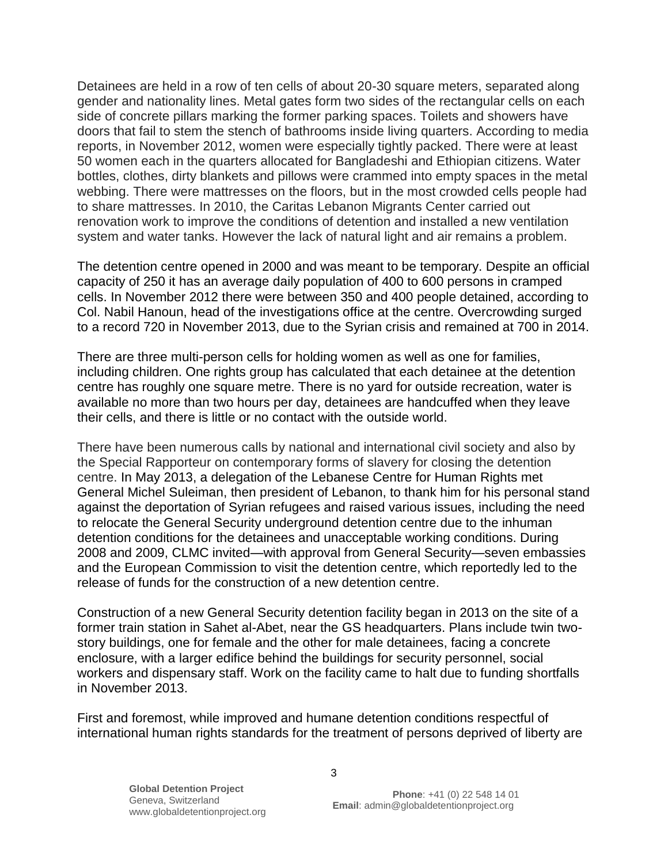Detainees are held in a row of ten cells of about 20-30 square meters, separated along gender and nationality lines. Metal gates form two sides of the rectangular cells on each side of concrete pillars marking the former parking spaces. Toilets and showers have doors that fail to stem the stench of bathrooms inside living quarters. According to media reports, in November 2012, women were especially tightly packed. There were at least 50 women each in the quarters allocated for Bangladeshi and Ethiopian citizens. Water bottles, clothes, dirty blankets and pillows were crammed into empty spaces in the metal webbing. There were mattresses on the floors, but in the most crowded cells people had to share mattresses. In 2010, the Caritas Lebanon Migrants Center carried out renovation work to improve the conditions of detention and installed a new ventilation system and water tanks. However the lack of natural light and air remains a problem.

The detention centre opened in 2000 and was meant to be temporary. Despite an official capacity of 250 it has an average daily population of 400 to 600 persons in cramped cells. In November 2012 there were between 350 and 400 people detained, according to Col. Nabil Hanoun, head of the investigations office at the centre. Overcrowding surged to a record 720 in November 2013, due to the Syrian crisis and remained at 700 in 2014.

There are three multi-person cells for holding women as well as one for families, including children. One rights group has calculated that each detainee at the detention centre has roughly one square metre. There is no yard for outside recreation, water is available no more than two hours per day, detainees are handcuffed when they leave their cells, and there is little or no contact with the outside world.

There have been numerous calls by national and international civil society and also by the Special Rapporteur on contemporary forms of slavery for closing the detention centre. In May 2013, a delegation of the Lebanese Centre for Human Rights met General Michel Suleiman, then president of Lebanon, to thank him for his personal stand against the deportation of Syrian refugees and raised various issues, including the need to relocate the General Security underground detention centre due to the inhuman detention conditions for the detainees and unacceptable working conditions. During 2008 and 2009, CLMC invited—with approval from General Security—seven embassies and the European Commission to visit the detention centre, which reportedly led to the release of funds for the construction of a new detention centre.

Construction of a new General Security detention facility began in 2013 on the site of a former train station in Sahet al-Abet, near the GS headquarters. Plans include twin twostory buildings, one for female and the other for male detainees, facing a concrete enclosure, with a larger edifice behind the buildings for security personnel, social workers and dispensary staff. Work on the facility came to halt due to funding shortfalls in November 2013.

First and foremost, while improved and humane detention conditions respectful of international human rights standards for the treatment of persons deprived of liberty are